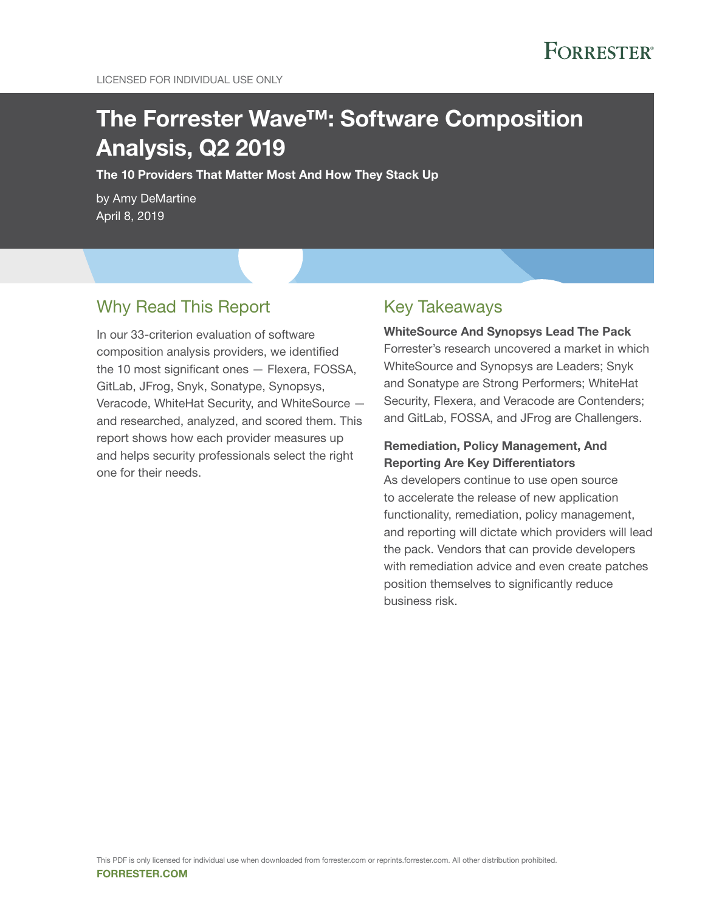# The Forrester Wave™: Software Composition Analysis, Q2 2019

The 10 Providers That Matter Most And How They Stack Up

by Amy DeMartine April 8, 2019

# Why Read This Report

In our 33-criterion evaluation of software composition analysis providers, we identified the 10 most significant ones — Flexera, FOSSA, GitLab, JFrog, Snyk, Sonatype, Synopsys, Veracode, WhiteHat Security, and WhiteSource and researched, analyzed, and scored them. This report shows how each provider measures up and helps security professionals select the right one for their needs.

## Key Takeaways

WhiteSource And Synopsys Lead The Pack Forrester's research uncovered a market in which WhiteSource and Synopsys are Leaders; Snyk and Sonatype are Strong Performers; WhiteHat Security, Flexera, and Veracode are Contenders; and GitLab, FOSSA, and JFrog are Challengers.

### Remediation, Policy Management, And Reporting Are Key Differentiators

As developers continue to use open source to accelerate the release of new application functionality, remediation, policy management, and reporting will dictate which providers will lead the pack. Vendors that can provide developers with remediation advice and even create patches position themselves to significantly reduce business risk.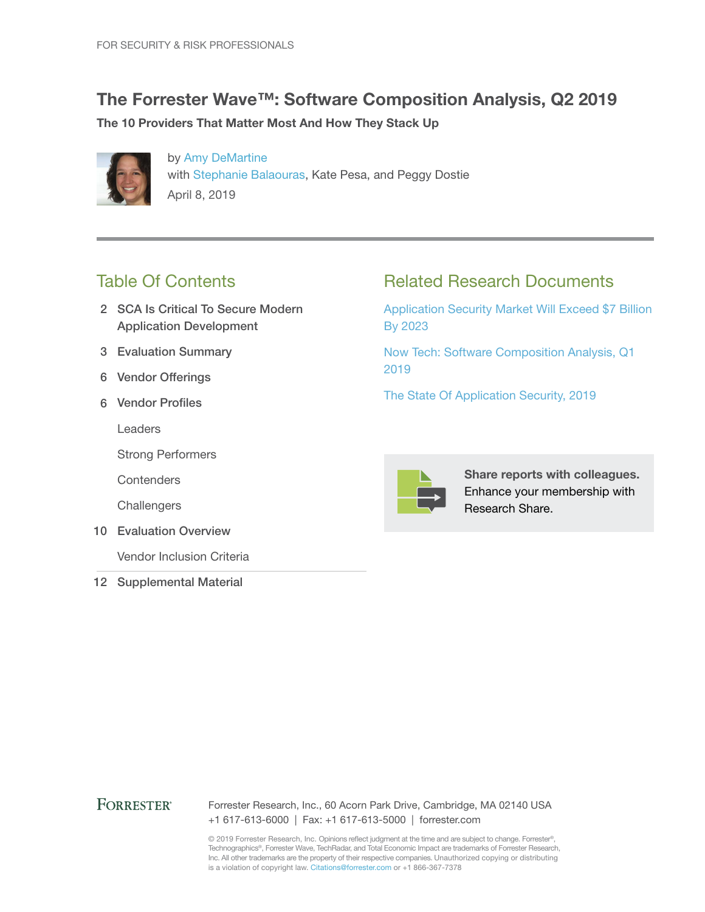# The Forrester Wave™: Software Composition Analysis, Q2 2019

The 10 Providers That Matter Most And How They Stack Up



by [Amy DeMartine](http://www.forrester.com/go?objectid=BIO7024) with [Stephanie Balaouras](http://www.forrester.com/go?objectid=BIO1123), Kate Pesa, and Peggy Dostie April 8, 2019

# Table Of Contents

- 2 SCA Is Critical To Secure Modern Application Development
- 3 Evaluation Summary
- 6 Vendor Offerings
- 6 Vendor Profiles

Leaders

Strong Performers

**Contenders** 

**Challengers** 

10 Evaluation Overview

Vendor Inclusion Criteria

12 Supplemental Material

# Related Research Documents

[Application Security Market Will Exceed \\$7 Billion](http://www.forrester.com/go?objectid=RES144054)  [By 2023](http://www.forrester.com/go?objectid=RES144054)

[Now Tech: Software Composition Analysis, Q1](http://www.forrester.com/go?objectid=RES145117)  [2019](http://www.forrester.com/go?objectid=RES145117)

[The State Of Application Security, 2019](http://www.forrester.com/go?objectid=RES145135)



Share reports with colleagues. Enhance your membership with Research Share.

### **FORRESTER®**

Forrester Research, Inc., 60 Acorn Park Drive, Cambridge, MA 02140 USA +1 617-613-6000 | Fax: +1 617-613-5000 | forrester.com

© 2019 Forrester Research, Inc. Opinions reflect judgment at the time and are subject to change. Forrester®, Technographics®, Forrester Wave, TechRadar, and Total Economic Impact are trademarks of Forrester Research, Inc. All other trademarks are the property of their respective companies. Unauthorized copying or distributing is a violation of copyright law. Citations@forrester.com or +1 866-367-7378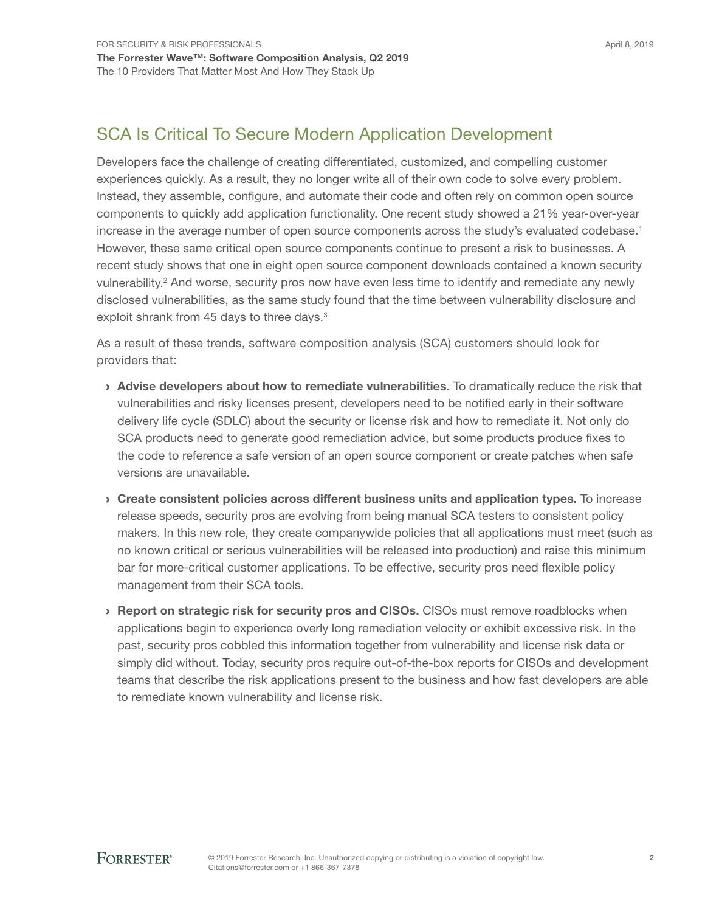# SCA Is Critical To Secure Modern Application Development

Developers face the challenge of creating differentiated, customized, and compelling customer experiences quickly. As a result, they no longer write all of their own code to solve every problem. Instead, they assemble, configure, and automate their code and often rely on common open source components to quickly add application functionality. One recent study showed a 21% year-over-year increase in the average number of open source components across the study's evaluated codebase.<sup>1</sup> However, these same critical open source components continue to present a risk to businesses. A recent study shows that one in eight open source component downloads contained a known security vulnerability.<sup>2</sup> And worse, security pros now have even less time to identify and remediate any newly disclosed vulnerabilities, as the same study found that the time between vulnerability disclosure and exploit shrank from 45 days to three days.<sup>3</sup>

As a result of these trends, software composition analysis (SCA) customers should look for providers that:

- › Advise developers about how to remediate vulnerabilities. To dramatically reduce the risk that vulnerabilities and risky licenses present, developers need to be notified early in their software delivery life cycle (SDLC) about the security or license risk and how to remediate it. Not only do SCA products need to generate good remediation advice, but some products produce fixes to the code to reference a safe version of an open source component or create patches when safe versions are unavailable.
- › Create consistent policies across different business units and application types. To increase release speeds, security pros are evolving from being manual SCA testers to consistent policy makers. In this new role, they create companywide policies that all applications must meet (such as no known critical or serious vulnerabilities will be released into production) and raise this minimum bar for more-critical customer applications. To be effective, security pros need flexible policy management from their SCA tools.
- **> Report on strategic risk for security pros and CISOs.** CISOs must remove roadblocks when applications begin to experience overly long remediation velocity or exhibit excessive risk. In the past, security pros cobbled this information together from vulnerability and license risk data or simply did without. Today, security pros require out-of-the-box reports for CISOs and development teams that describe the risk applications present to the business and how fast developers are able to remediate known vulnerability and license risk.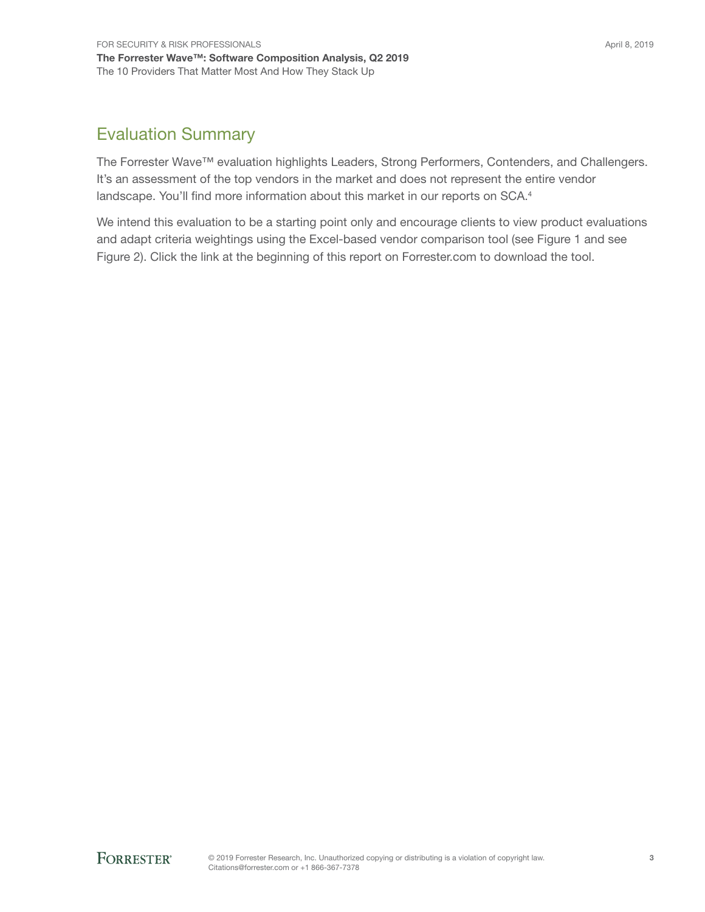# Evaluation Summary

The Forrester Wave™ evaluation highlights Leaders, Strong Performers, Contenders, and Challengers. It's an assessment of the top vendors in the market and does not represent the entire vendor landscape. You'll find more information about this market in our reports on SCA.<sup>4</sup>

We intend this evaluation to be a starting point only and encourage clients to view product evaluations and adapt criteria weightings using the Excel-based vendor comparison tool (see Figure 1 and see Figure 2). Click the link at the beginning of this report on Forrester.com to download the tool.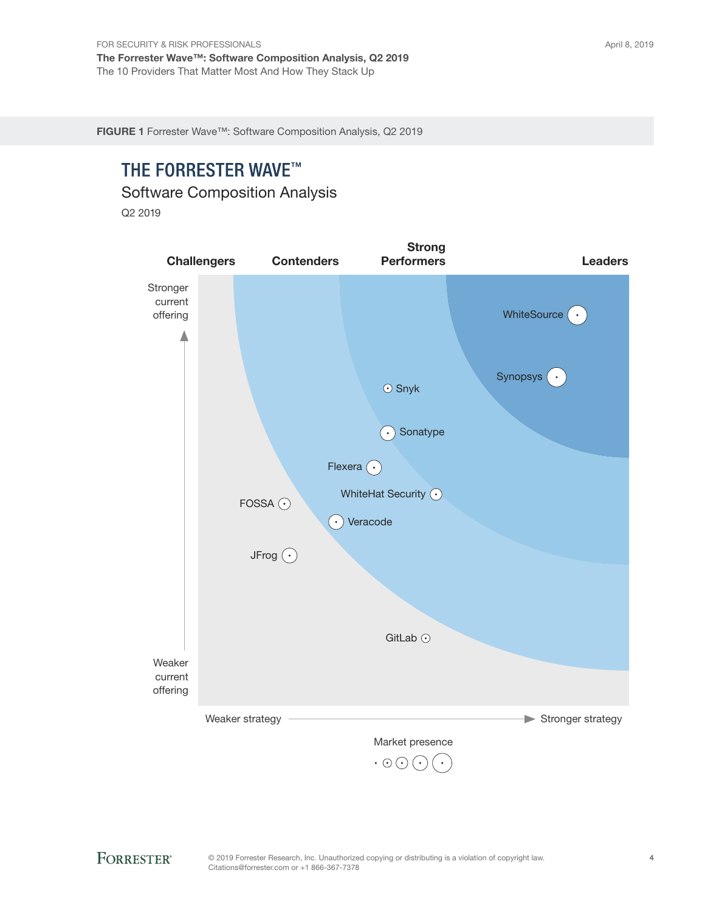FIGURE 1 Forrester Wave™: Software Composition Analysis, Q2 2019

# THE FORRESTER WAVE™

Software Composition Analysis

Q2 2019

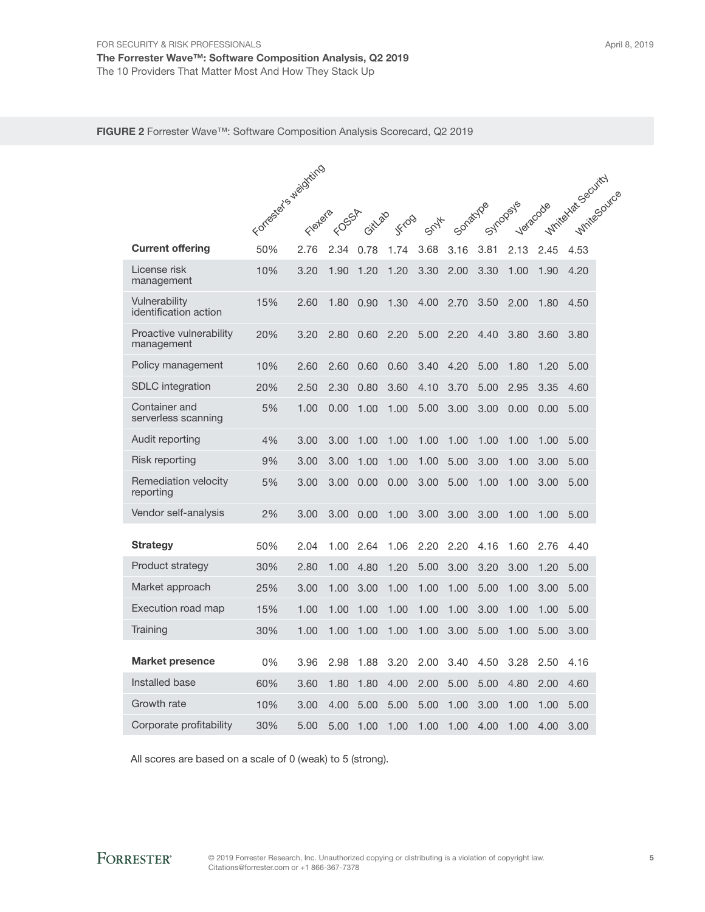#### FIGURE 2 Forrester Wave™: Software Composition Analysis Scorecard, Q2 2019

|                                        | Forrester's weighting | Fletera | FOSSA | Gitlago | JFrog | Spyt | Sonatyloe |      | Syndopeys | Veracode | Whitehaska Security<br><b>WhiteSovice</b> |
|----------------------------------------|-----------------------|---------|-------|---------|-------|------|-----------|------|-----------|----------|-------------------------------------------|
| <b>Current offering</b>                | 50%                   | 2.76    | 2.34  | 0.78    | 1.74  | 3.68 | 3.16      | 3.81 | 2.13      | 2.45     | 4.53                                      |
| License risk<br>management             | 10%                   | 3.20    | 1.90  | 1.20    | 1.20  | 3.30 | 2.00      | 3.30 | 1.00      | 1.90     | 4.20                                      |
| Vulnerability<br>identification action | 15%                   | 2.60    | 1.80  | 0.90    | 1.30  | 4.00 | 2.70      | 3.50 | 2.00      | 1.80     | 4.50                                      |
| Proactive vulnerability<br>management  | 20%                   | 3.20    | 2.80  | 0.60    | 2.20  | 5.00 | 2.20      | 4.40 | 3.80      | 3.60     | 3.80                                      |
| Policy management                      | 10%                   | 2.60    | 2.60  | 0.60    | 0.60  | 3.40 | 4.20      | 5.00 | 1.80      | 1.20     | 5.00                                      |
| <b>SDLC</b> integration                | 20%                   | 2.50    | 2.30  | 0.80    | 3.60  | 4.10 | 3.70      | 5.00 | 2.95      | 3.35     | 4.60                                      |
| Container and<br>serverless scanning   | 5%                    | 1.00    | 0.00  | 1.00    | 1.00  | 5.00 | 3.00      | 3.00 | 0.00      | 0.00     | 5.00                                      |
| Audit reporting                        | 4%                    | 3.00    | 3.00  | 1.00    | 1.00  | 1.00 | 1.00      | 1.00 | 1.00      | 1.00     | 5.00                                      |
| Risk reporting                         | 9%                    | 3.00    | 3.00  | 1.00    | 1.00  | 1.00 | 5.00      | 3.00 | 1.00      | 3.00     | 5.00                                      |
| Remediation velocity<br>reporting      | 5%                    | 3.00    | 3.00  | 0.00    | 0.00  | 3.00 | 5.00      | 1.00 | 1.00      | 3.00     | 5.00                                      |
| Vendor self-analysis                   | 2%                    | 3.00    | 3.00  | 0.00    | 1.00  | 3.00 | 3.00      | 3.00 | 1.00      | 1.00     | 5.00                                      |
| Strategy                               | 50%                   | 2.04    | 1.00  | 2.64    | 1.06  | 2.20 | 2.20      | 4.16 | 1.60      | 2.76     | 4.40                                      |
| Product strategy                       | 30%                   | 2.80    | 1.00  | 4.80    | 1.20  | 5.00 | 3.00      | 3.20 | 3.00      | 1.20     | 5.00                                      |
| Market approach                        | 25%                   | 3.00    | 1.00  | 3.00    | 1.00  | 1.00 | 1.00      | 5.00 | 1.00      | 3.00     | 5.00                                      |
| Execution road map                     | 15%                   | 1.00    | 1.00  | 1.00    | 1.00  | 1.00 | 1.00      | 3.00 | 1.00      | 1.00     | 5.00                                      |
| Training                               | 30%                   | 1.00    | 1.00  | 1.00    | 1.00  | 1.00 | 3.00      | 5.00 | 1.00      | 5.00     | 3.00                                      |
| <b>Market presence</b>                 | 0%                    | 3.96    | 2.98  | 1.88    | 3.20  | 2.00 | 3.40      | 4.50 | 3.28      | 2.50     | 4.16                                      |
| Installed base                         | 60%                   | 3.60    | 1.80  | 1.80    | 4.00  | 2.00 | 5.00      | 5.00 | 4.80      | 2.00     | 4.60                                      |
| Growth rate                            | 10%                   | 3.00    | 4.00  | 5.00    | 5.00  | 5.00 | 1.00      | 3.00 | 1.00      | 1.00     | 5.00                                      |
| Corporate profitability                | 30%                   | 5.00    | 5.00  | 1.00    | 1.00  | 1.00 | 1.00      | 4.00 | 1.00      | 4.00     | 3.00                                      |

All scores are based on a scale of 0 (weak) to 5 (strong).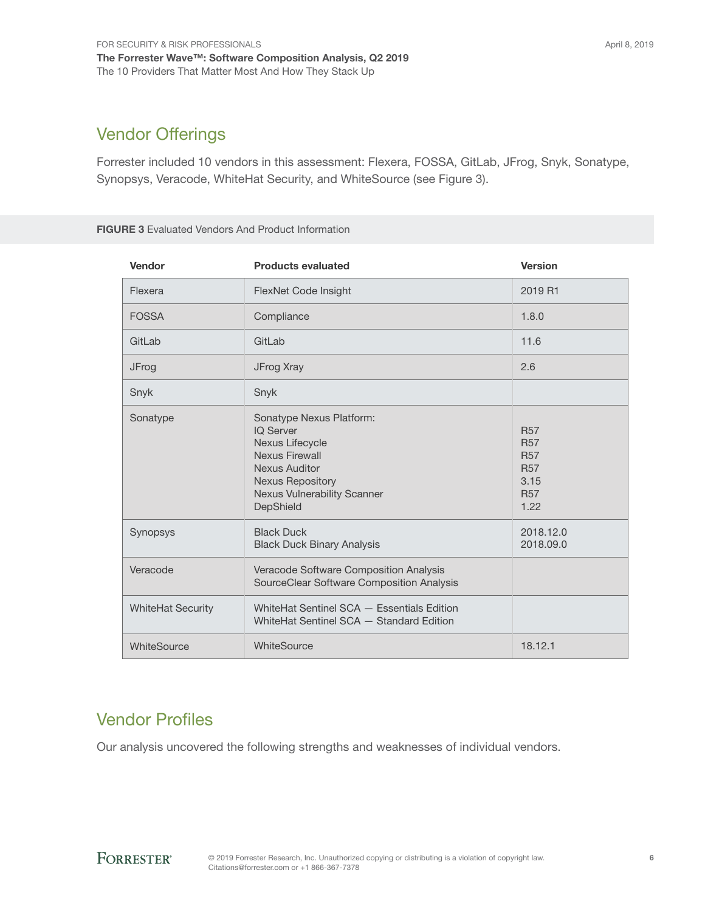# Vendor Offerings

Forrester included 10 vendors in this assessment: Flexera, FOSSA, GitLab, JFrog, Snyk, Sonatype, Synopsys, Veracode, WhiteHat Security, and WhiteSource (see Figure 3).

#### FIGURE 3 Evaluated Vendors And Product Information

| Vendor                   | <b>Products evaluated</b>                                                                                                                                                               | <b>Version</b>                                                                     |
|--------------------------|-----------------------------------------------------------------------------------------------------------------------------------------------------------------------------------------|------------------------------------------------------------------------------------|
| Flexera                  | FlexNet Code Insight                                                                                                                                                                    | 2019 R1                                                                            |
| <b>FOSSA</b>             | Compliance                                                                                                                                                                              | 1.8.0                                                                              |
| GitLab                   | GitLab                                                                                                                                                                                  | 11.6                                                                               |
| JFrog                    | JFrog Xray                                                                                                                                                                              | 2.6                                                                                |
| Snyk                     | Snyk                                                                                                                                                                                    |                                                                                    |
| Sonatype                 | Sonatype Nexus Platform:<br><b>IQ Server</b><br>Nexus Lifecycle<br>Nexus Firewall<br><b>Nexus Auditor</b><br><b>Nexus Repository</b><br><b>Nexus Vulnerability Scanner</b><br>DepShield | <b>R57</b><br><b>R57</b><br><b>R57</b><br><b>R57</b><br>3.15<br><b>R57</b><br>1.22 |
| Synopsys                 | <b>Black Duck</b><br><b>Black Duck Binary Analysis</b>                                                                                                                                  | 2018.12.0<br>2018.09.0                                                             |
| Veracode                 | Veracode Software Composition Analysis<br>SourceClear Software Composition Analysis                                                                                                     |                                                                                    |
| <b>WhiteHat Security</b> | WhiteHat Sentinel SCA - Essentials Edition<br>WhiteHat Sentinel SCA - Standard Edition                                                                                                  |                                                                                    |
| WhiteSource              | WhiteSource                                                                                                                                                                             | 18.12.1                                                                            |

# Vendor Profiles

Our analysis uncovered the following strengths and weaknesses of individual vendors.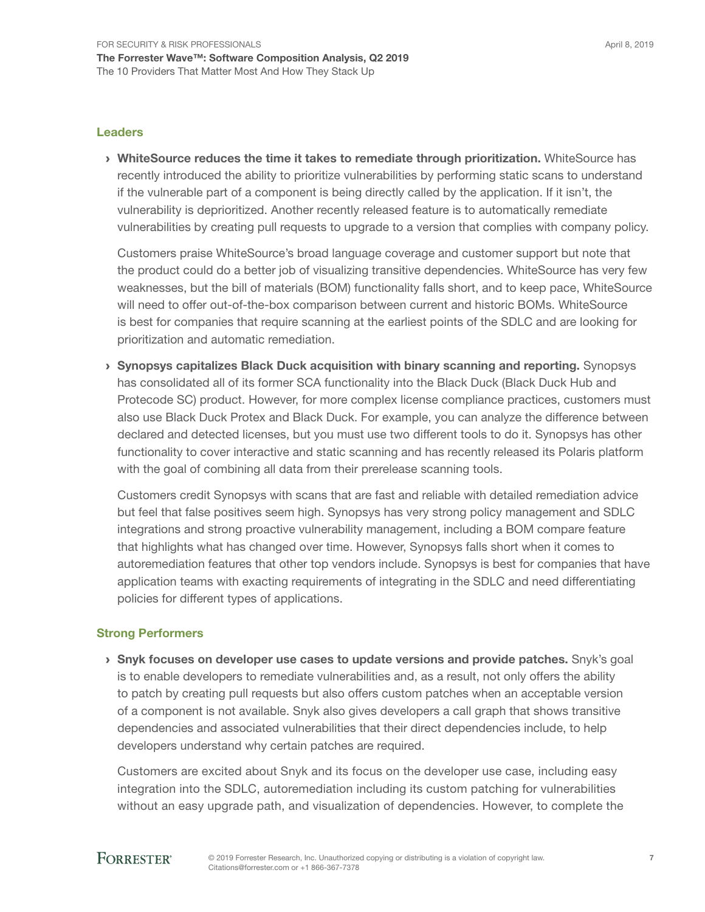#### Leaders

› WhiteSource reduces the time it takes to remediate through prioritization. WhiteSource has recently introduced the ability to prioritize vulnerabilities by performing static scans to understand if the vulnerable part of a component is being directly called by the application. If it isn't, the vulnerability is deprioritized. Another recently released feature is to automatically remediate vulnerabilities by creating pull requests to upgrade to a version that complies with company policy.

Customers praise WhiteSource's broad language coverage and customer support but note that the product could do a better job of visualizing transitive dependencies. WhiteSource has very few weaknesses, but the bill of materials (BOM) functionality falls short, and to keep pace, WhiteSource will need to offer out-of-the-box comparison between current and historic BOMs. WhiteSource is best for companies that require scanning at the earliest points of the SDLC and are looking for prioritization and automatic remediation.

› Synopsys capitalizes Black Duck acquisition with binary scanning and reporting. Synopsys has consolidated all of its former SCA functionality into the Black Duck (Black Duck Hub and Protecode SC) product. However, for more complex license compliance practices, customers must also use Black Duck Protex and Black Duck. For example, you can analyze the difference between declared and detected licenses, but you must use two different tools to do it. Synopsys has other functionality to cover interactive and static scanning and has recently released its Polaris platform with the goal of combining all data from their prerelease scanning tools.

Customers credit Synopsys with scans that are fast and reliable with detailed remediation advice but feel that false positives seem high. Synopsys has very strong policy management and SDLC integrations and strong proactive vulnerability management, including a BOM compare feature that highlights what has changed over time. However, Synopsys falls short when it comes to autoremediation features that other top vendors include. Synopsys is best for companies that have application teams with exacting requirements of integrating in the SDLC and need differentiating policies for different types of applications.

### Strong Performers

**> Snyk focuses on developer use cases to update versions and provide patches.** Snyk's goal is to enable developers to remediate vulnerabilities and, as a result, not only offers the ability to patch by creating pull requests but also offers custom patches when an acceptable version of a component is not available. Snyk also gives developers a call graph that shows transitive dependencies and associated vulnerabilities that their direct dependencies include, to help developers understand why certain patches are required.

Customers are excited about Snyk and its focus on the developer use case, including easy integration into the SDLC, autoremediation including its custom patching for vulnerabilities without an easy upgrade path, and visualization of dependencies. However, to complete the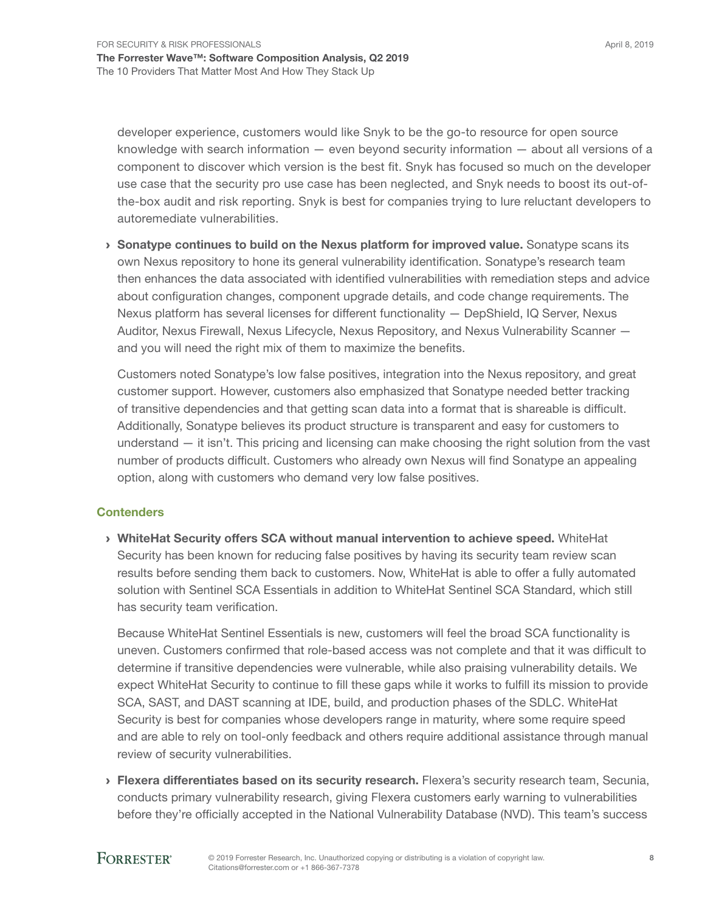developer experience, customers would like Snyk to be the go-to resource for open source knowledge with search information — even beyond security information — about all versions of a component to discover which version is the best fit. Snyk has focused so much on the developer use case that the security pro use case has been neglected, and Snyk needs to boost its out-ofthe-box audit and risk reporting. Snyk is best for companies trying to lure reluctant developers to autoremediate vulnerabilities.

› Sonatype continues to build on the Nexus platform for improved value. Sonatype scans its own Nexus repository to hone its general vulnerability identification. Sonatype's research team then enhances the data associated with identified vulnerabilities with remediation steps and advice about configuration changes, component upgrade details, and code change requirements. The Nexus platform has several licenses for different functionality — DepShield, IQ Server, Nexus Auditor, Nexus Firewall, Nexus Lifecycle, Nexus Repository, and Nexus Vulnerability Scanner and you will need the right mix of them to maximize the benefits.

Customers noted Sonatype's low false positives, integration into the Nexus repository, and great customer support. However, customers also emphasized that Sonatype needed better tracking of transitive dependencies and that getting scan data into a format that is shareable is difficult. Additionally, Sonatype believes its product structure is transparent and easy for customers to understand — it isn't. This pricing and licensing can make choosing the right solution from the vast number of products difficult. Customers who already own Nexus will find Sonatype an appealing option, along with customers who demand very low false positives.

### **Contenders**

› WhiteHat Security offers SCA without manual intervention to achieve speed. WhiteHat Security has been known for reducing false positives by having its security team review scan results before sending them back to customers. Now, WhiteHat is able to offer a fully automated solution with Sentinel SCA Essentials in addition to WhiteHat Sentinel SCA Standard, which still has security team verification.

Because WhiteHat Sentinel Essentials is new, customers will feel the broad SCA functionality is uneven. Customers confirmed that role-based access was not complete and that it was difficult to determine if transitive dependencies were vulnerable, while also praising vulnerability details. We expect WhiteHat Security to continue to fill these gaps while it works to fulfill its mission to provide SCA, SAST, and DAST scanning at IDE, build, and production phases of the SDLC. WhiteHat Security is best for companies whose developers range in maturity, where some require speed and are able to rely on tool-only feedback and others require additional assistance through manual review of security vulnerabilities.

> Flexera differentiates based on its security research. Flexera's security research team, Secunia, conducts primary vulnerability research, giving Flexera customers early warning to vulnerabilities before they're officially accepted in the National Vulnerability Database (NVD). This team's success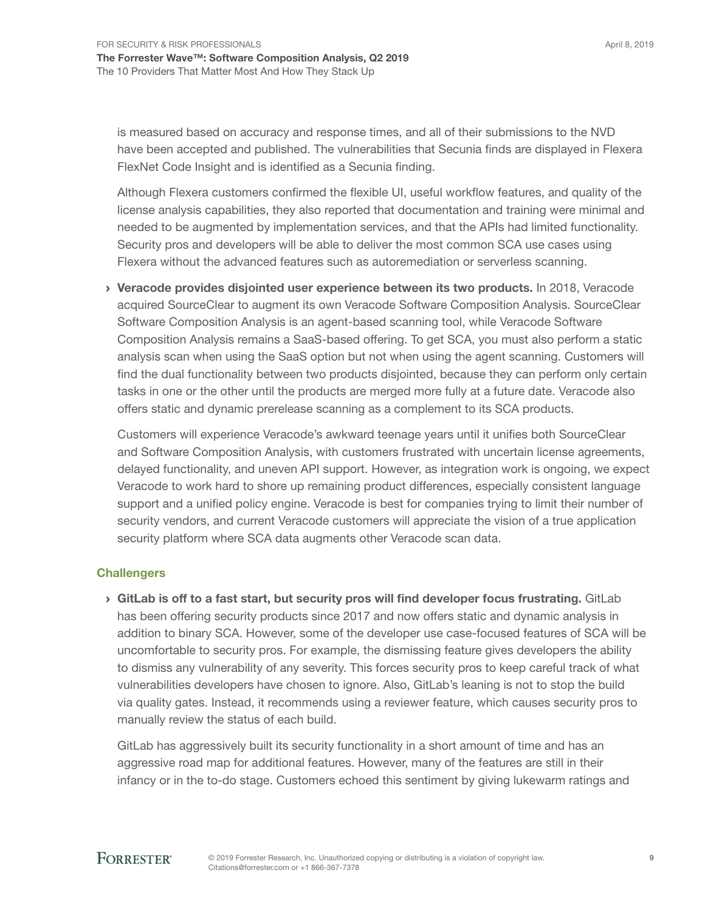is measured based on accuracy and response times, and all of their submissions to the NVD have been accepted and published. The vulnerabilities that Secunia finds are displayed in Flexera FlexNet Code Insight and is identified as a Secunia finding.

Although Flexera customers confirmed the flexible UI, useful workflow features, and quality of the license analysis capabilities, they also reported that documentation and training were minimal and needed to be augmented by implementation services, and that the APIs had limited functionality. Security pros and developers will be able to deliver the most common SCA use cases using Flexera without the advanced features such as autoremediation or serverless scanning.

› Veracode provides disjointed user experience between its two products. In 2018, Veracode acquired SourceClear to augment its own Veracode Software Composition Analysis. SourceClear Software Composition Analysis is an agent-based scanning tool, while Veracode Software Composition Analysis remains a SaaS-based offering. To get SCA, you must also perform a static analysis scan when using the SaaS option but not when using the agent scanning. Customers will find the dual functionality between two products disjointed, because they can perform only certain tasks in one or the other until the products are merged more fully at a future date. Veracode also offers static and dynamic prerelease scanning as a complement to its SCA products.

Customers will experience Veracode's awkward teenage years until it unifies both SourceClear and Software Composition Analysis, with customers frustrated with uncertain license agreements, delayed functionality, and uneven API support. However, as integration work is ongoing, we expect Veracode to work hard to shore up remaining product differences, especially consistent language support and a unified policy engine. Veracode is best for companies trying to limit their number of security vendors, and current Veracode customers will appreciate the vision of a true application security platform where SCA data augments other Veracode scan data.

### **Challengers**

 $\rightarrow$  GitLab is off to a fast start, but security pros will find developer focus frustrating. GitLab has been offering security products since 2017 and now offers static and dynamic analysis in addition to binary SCA. However, some of the developer use case-focused features of SCA will be uncomfortable to security pros. For example, the dismissing feature gives developers the ability to dismiss any vulnerability of any severity. This forces security pros to keep careful track of what vulnerabilities developers have chosen to ignore. Also, GitLab's leaning is not to stop the build via quality gates. Instead, it recommends using a reviewer feature, which causes security pros to manually review the status of each build.

GitLab has aggressively built its security functionality in a short amount of time and has an aggressive road map for additional features. However, many of the features are still in their infancy or in the to-do stage. Customers echoed this sentiment by giving lukewarm ratings and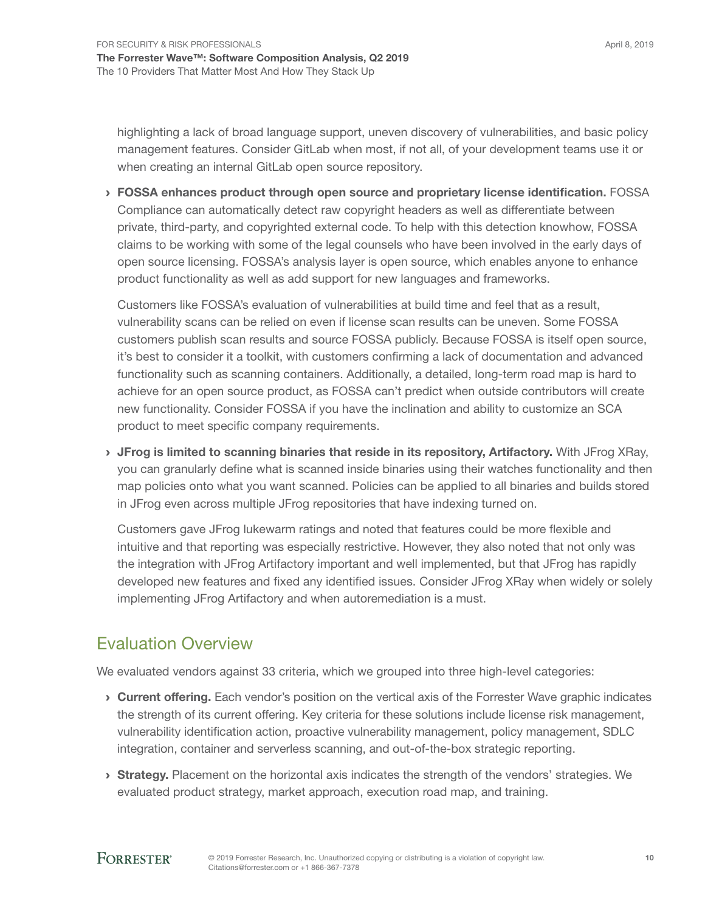highlighting a lack of broad language support, uneven discovery of vulnerabilities, and basic policy management features. Consider GitLab when most, if not all, of your development teams use it or when creating an internal GitLab open source repository.

› FOSSA enhances product through open source and proprietary license identification. FOSSA Compliance can automatically detect raw copyright headers as well as differentiate between private, third-party, and copyrighted external code. To help with this detection knowhow, FOSSA claims to be working with some of the legal counsels who have been involved in the early days of open source licensing. FOSSA's analysis layer is open source, which enables anyone to enhance product functionality as well as add support for new languages and frameworks.

Customers like FOSSA's evaluation of vulnerabilities at build time and feel that as a result, vulnerability scans can be relied on even if license scan results can be uneven. Some FOSSA customers publish scan results and source FOSSA publicly. Because FOSSA is itself open source, it's best to consider it a toolkit, with customers confirming a lack of documentation and advanced functionality such as scanning containers. Additionally, a detailed, long-term road map is hard to achieve for an open source product, as FOSSA can't predict when outside contributors will create new functionality. Consider FOSSA if you have the inclination and ability to customize an SCA product to meet specific company requirements.

› JFrog is limited to scanning binaries that reside in its repository, Artifactory. With JFrog XRay, you can granularly define what is scanned inside binaries using their watches functionality and then map policies onto what you want scanned. Policies can be applied to all binaries and builds stored in JFrog even across multiple JFrog repositories that have indexing turned on.

Customers gave JFrog lukewarm ratings and noted that features could be more flexible and intuitive and that reporting was especially restrictive. However, they also noted that not only was the integration with JFrog Artifactory important and well implemented, but that JFrog has rapidly developed new features and fixed any identified issues. Consider JFrog XRay when widely or solely implementing JFrog Artifactory and when autoremediation is a must.

# Evaluation Overview

We evaluated vendors against 33 criteria, which we grouped into three high-level categories:

- **Current offering.** Each vendor's position on the vertical axis of the Forrester Wave graphic indicates the strength of its current offering. Key criteria for these solutions include license risk management, vulnerability identification action, proactive vulnerability management, policy management, SDLC integration, container and serverless scanning, and out-of-the-box strategic reporting.
- **Strategy.** Placement on the horizontal axis indicates the strength of the vendors' strategies. We evaluated product strategy, market approach, execution road map, and training.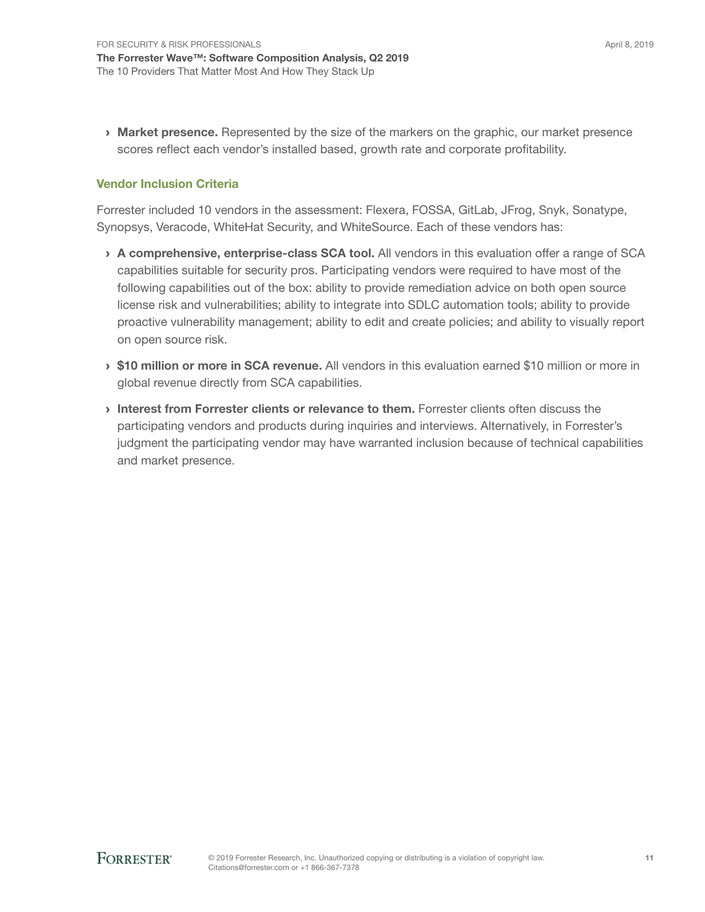**Market presence.** Represented by the size of the markers on the graphic, our market presence scores reflect each vendor's installed based, growth rate and corporate profitability.

### Vendor Inclusion Criteria

Forrester included 10 vendors in the assessment: Flexera, FOSSA, GitLab, JFrog, Snyk, Sonatype, Synopsys, Veracode, WhiteHat Security, and WhiteSource. Each of these vendors has:

- > A comprehensive, enterprise-class SCA tool. All vendors in this evaluation offer a range of SCA capabilities suitable for security pros. Participating vendors were required to have most of the following capabilities out of the box: ability to provide remediation advice on both open source license risk and vulnerabilities; ability to integrate into SDLC automation tools; ability to provide proactive vulnerability management; ability to edit and create policies; and ability to visually report on open source risk.
- **S10 million or more in SCA revenue.** All vendors in this evaluation earned \$10 million or more in global revenue directly from SCA capabilities.
- › Interest from Forrester clients or relevance to them. Forrester clients often discuss the participating vendors and products during inquiries and interviews. Alternatively, in Forrester's judgment the participating vendor may have warranted inclusion because of technical capabilities and market presence.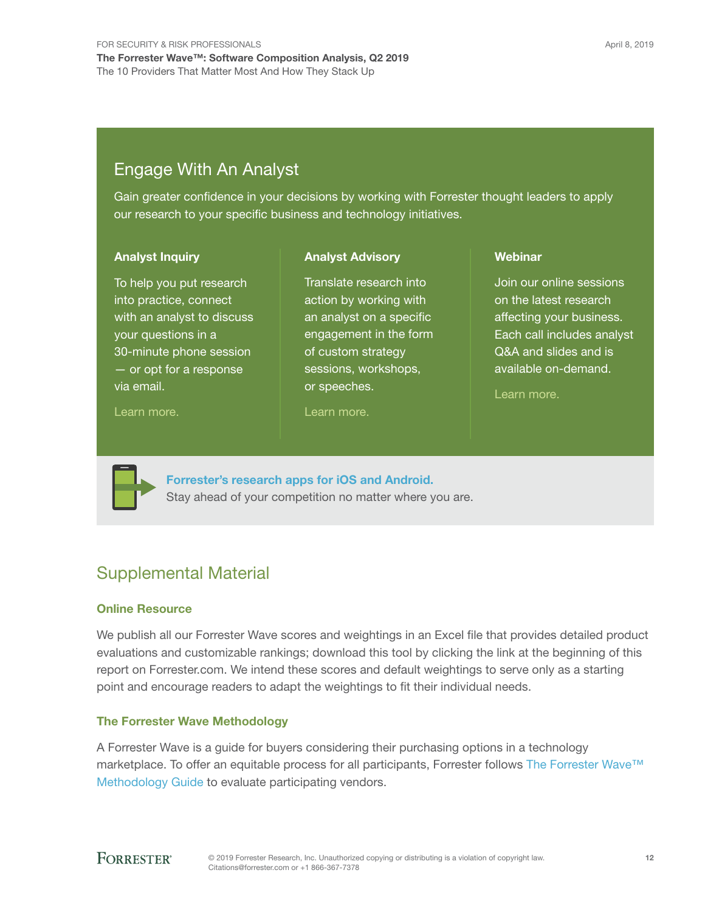# Engage With An Analyst

Gain greater confidence in your decisions by working with Forrester thought leaders to apply our research to your specific business and technology initiatives.

> Translate research into action by working with an analyst on a specific engagement in the form of custom strategy sessions, workshops,

Analyst Advisory

#### Analyst Inquiry

To help you put research into practice, connect with an analyst to discuss your questions in a 30-minute phone session — or opt for a response via email.

#### [Learn more.](http://forr.com/1einFan)

[Learn more.](http://www.forrester.com/Analyst-Advisory/-/E-MPL172)

or speeches.

#### Webinar

Join our online sessions on the latest research affecting your business. Each call includes analyst Q&A and slides and is available on-demand.

[Learn more](https://www.forrester.com/events?N=10006+5025).



[Forrester's research apps for iOS and Android.](http://www.forrester.com/app) Stay ahead of your competition no matter where you are.

## Supplemental Material

### Online Resource

We publish all our Forrester Wave scores and weightings in an Excel file that provides detailed product evaluations and customizable rankings; download this tool by clicking the link at the beginning of this report on Forrester.com. We intend these scores and default weightings to serve only as a starting point and encourage readers to adapt the weightings to fit their individual needs.

### The Forrester Wave Methodology

A Forrester Wave is a guide for buyers considering their purchasing options in a technology marketplace. To offer an equitable process for all participants, Forrester follows [The Forrester Wave™](https://go.forrester.com/policies/forrester-wave-methodology/)  [Methodology Guide](https://go.forrester.com/policies/forrester-wave-methodology/) to evaluate participating vendors.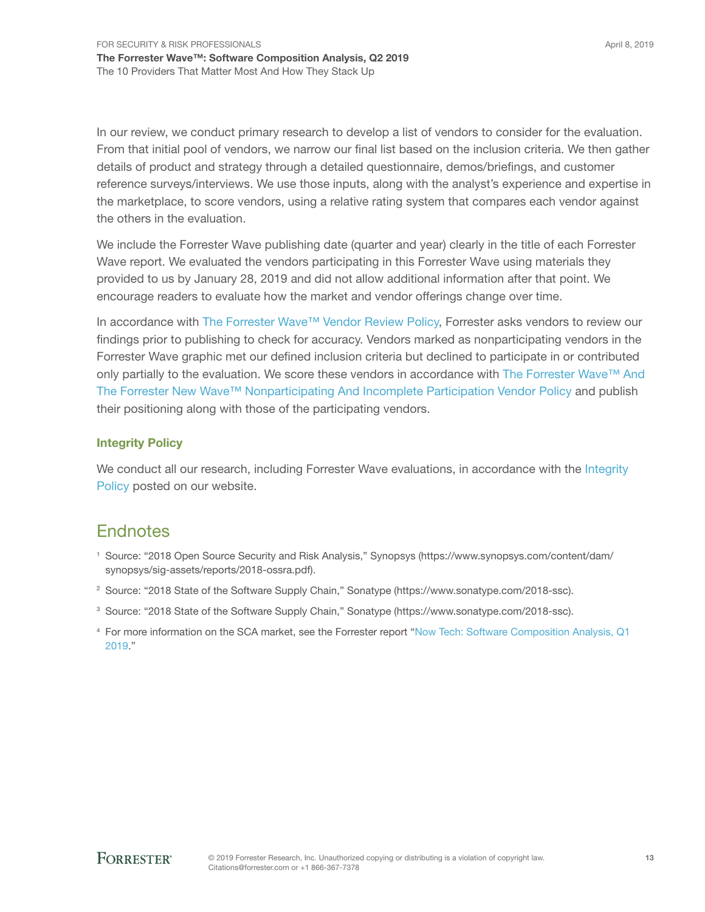In our review, we conduct primary research to develop a list of vendors to consider for the evaluation. From that initial pool of vendors, we narrow our final list based on the inclusion criteria. We then gather details of product and strategy through a detailed questionnaire, demos/briefings, and customer reference surveys/interviews. We use those inputs, along with the analyst's experience and expertise in the marketplace, to score vendors, using a relative rating system that compares each vendor against the others in the evaluation.

We include the Forrester Wave publishing date (quarter and year) clearly in the title of each Forrester Wave report. We evaluated the vendors participating in this Forrester Wave using materials they provided to us by January 28, 2019 and did not allow additional information after that point. We encourage readers to evaluate how the market and vendor offerings change over time.

In accordance with [The Forrester Wave™ Vendor Review Policy](https://go.forrester.com/policies/wave-vendor-review-policy/), Forrester asks vendors to review our findings prior to publishing to check for accuracy. Vendors marked as nonparticipating vendors in the Forrester Wave graphic met our defined inclusion criteria but declined to participate in or contributed only partially to the evaluation. We score these vendors in accordance with The Forrester Wave™ And [The Forrester New Wave™ Nonparticipating And Incomplete Participation Vendor Policy](https://go.forrester.com/policies/wave-vendor-nonparticipation-policy/) and publish their positioning along with those of the participating vendors.

### Integrity Policy

We conduct all our research, including Forrester Wave evaluations, in accordance with the Integrity [Policy](https://go.forrester.com/policies/integrity-policy/) posted on our website.

# **Endnotes**

- <sup>1</sup> Source: "2018 Open Source Security and Risk Analysis," Synopsys (https://www.synopsys.com/content/dam/ synopsys/sig-assets/reports/2018-ossra.pdf).
- <sup>2</sup> Source: "2018 State of the Software Supply Chain," Sonatype (https://www.sonatype.com/2018-ssc).
- <sup>3</sup> Source: "2018 State of the Software Supply Chain," Sonatype (https://www.sonatype.com/2018-ssc).
- <sup>4</sup> For more information on the SCA market, see the Forrester report ["Now Tech: Software Composition Analysis, Q1](http://www.forrester.com/go?objectid=RES145117)  [2019.](http://www.forrester.com/go?objectid=RES145117)"